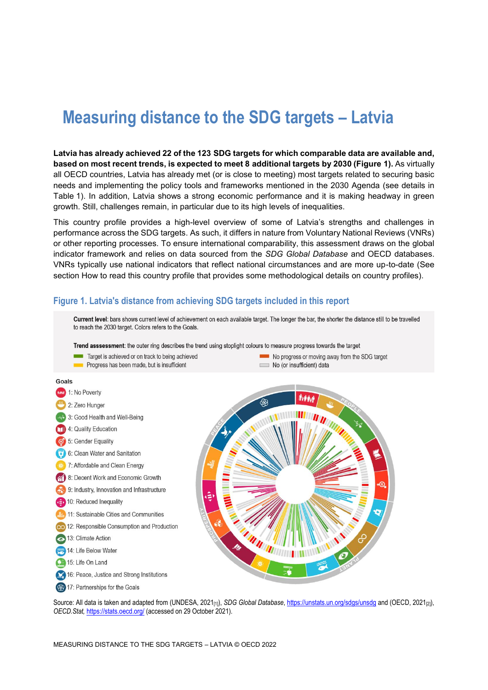# **Measuring distance to the SDG targets – Latvia**

**Latvia has already achieved 22 of the 123 SDG targets for which comparable data are available and, based on most recent trends, is expected to meet 8 additional targets by 2030 [\(Figure](#page-0-0) 1).** As virtually all OECD countries, Latvia has already met (or is close to meeting) most targets related to securing basic needs and implementing the policy tools and frameworks mentioned in the 2030 Agenda (see details in [Table](#page-3-0) 1). In addition, Latvia shows a strong economic performance and it is making headway in green growth. Still, challenges remain, in particular due to its high levels of inequalities.

This country profile provides a high-level overview of some of Latvia's strengths and challenges in performance across the SDG targets. As such, it differs in nature from Voluntary National Reviews (VNRs) or other reporting processes. To ensure international comparability, this assessment draws on the global indicator framework and relies on data sourced from the *SDG Global Database* and OECD databases. VNRs typically use national indicators that reflect national circumstances and are more up-to-date (See section [How to read this](#page-7-0) country profile that provides some methodological details on country profiles).

# <span id="page-0-0"></span>**Figure 1. Latvia's distance from achieving SDG targets included in this report**



Source: All data is taken and adapted from (UNDESA, 2021<sub>[1]</sub>), *SDG Global Database*[, https://unstats.un.org/sdgs/unsdg](https://unstats.un.org/sdgs/unsdg) and (OECD, 2021<sub>[2]</sub>), *OECD.Stat,* <https://stats.oecd.org/> (accessed on 29 October 2021).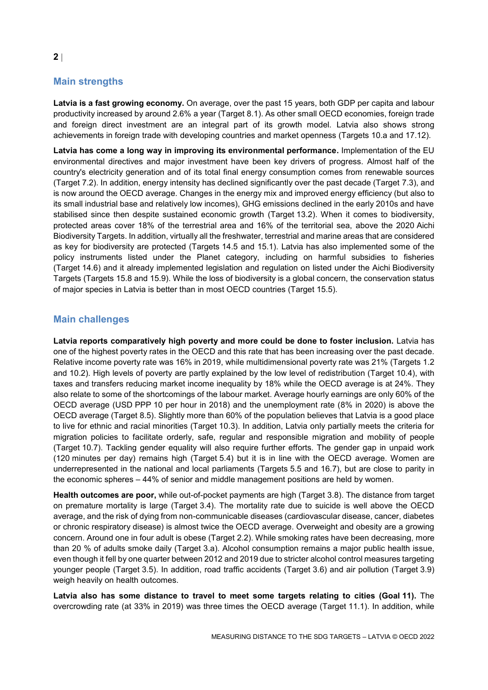# **Main strengths**

**Latvia is a fast growing economy.** On average, over the past 15 years, both GDP per capita and labour productivity increased by around 2.6% a year (Target 8.1). As other small OECD economies, foreign trade and foreign direct investment are an integral part of its growth model. Latvia also shows strong achievements in foreign trade with developing countries and market openness (Targets 10.a and 17.12).

**Latvia has come a long way in improving its environmental performance.** Implementation of the EU environmental directives and major investment have been key drivers of progress. Almost half of the country's electricity generation and of its total final energy consumption comes from renewable sources (Target 7.2). In addition, energy intensity has declined significantly over the past decade (Target 7.3), and is now around the OECD average. Changes in the energy mix and improved energy efficiency (but also to its small industrial base and relatively low incomes), GHG emissions declined in the early 2010s and have stabilised since then despite sustained economic growth (Target 13.2). When it comes to biodiversity, protected areas cover 18% of the terrestrial area and 16% of the territorial sea, above the 2020 Aichi Biodiversity Targets. In addition, virtually all the freshwater, terrestrial and marine areas that are considered as key for biodiversity are protected (Targets 14.5 and 15.1). Latvia has also implemented some of the policy instruments listed under the Planet category, including on harmful subsidies to fisheries (Target 14.6) and it already implemented legislation and regulation on listed under the Aichi Biodiversity Targets (Targets 15.8 and 15.9). While the loss of biodiversity is a global concern, the conservation status of major species in Latvia is better than in most OECD countries (Target 15.5).

# **Main challenges**

**Latvia reports comparatively high poverty and more could be done to foster inclusion.** Latvia has one of the highest poverty rates in the OECD and this rate that has been increasing over the past decade. Relative income poverty rate was 16% in 2019, while multidimensional poverty rate was 21% (Targets 1.2 and 10.2). High levels of poverty are partly explained by the low level of redistribution (Target 10.4), with taxes and transfers reducing market income inequality by 18% while the OECD average is at 24%. They also relate to some of the shortcomings of the labour market. Average hourly earnings are only 60% of the OECD average (USD PPP 10 per hour in 2018) and the unemployment rate (8% in 2020) is above the OECD average (Target 8.5). Slightly more than 60% of the population believes that Latvia is a good place to live for ethnic and racial minorities (Target 10.3). In addition, Latvia only partially meets the criteria for migration policies to facilitate orderly, safe, regular and responsible migration and mobility of people (Target 10.7). Tackling gender equality will also require further efforts. The gender gap in unpaid work (120 minutes per day) remains high (Target 5.4) but it is in line with the OECD average. Women are underrepresented in the national and local parliaments (Targets 5.5 and 16.7), but are close to parity in the economic spheres – 44% of senior and middle management positions are held by women.

**Health outcomes are poor,** while out-of-pocket payments are high (Target 3.8). The distance from target on premature mortality is large (Target 3.4). The mortality rate due to suicide is well above the OECD average, and the risk of dying from non-communicable diseases (cardiovascular disease, cancer, diabetes or chronic respiratory disease) is almost twice the OECD average. Overweight and obesity are a growing concern. Around one in four adult is obese (Target 2.2). While smoking rates have been decreasing, more than 20 % of adults smoke daily (Target 3.a). Alcohol consumption remains a major public health issue, even though it fell by one quarter between 2012 and 2019 due to stricter alcohol control measures targeting younger people (Target 3.5). In addition, road traffic accidents (Target 3.6) and air pollution (Target 3.9) weigh heavily on health outcomes.

**Latvia also has some distance to travel to meet some targets relating to cities (Goal 11).** The overcrowding rate (at 33% in 2019) was three times the OECD average (Target 11.1). In addition, while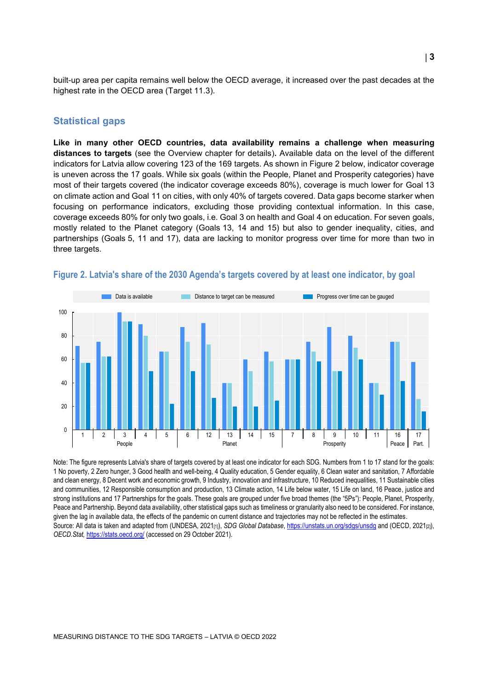built-up area per capita remains well below the OECD average, it increased over the past decades at the highest rate in the OECD area (Target 11.3).

# **Statistical gaps**

**Like in many other OECD countries, data availability remains a challenge when measuring distances to targets** (see the Overview chapter for details)**.** Available data on the level of the different indicators for Latvia allow covering 123 of the 169 targets. As shown in [Figure](#page-2-0) 2 below, indicator coverage is uneven across the 17 goals. While six goals (within the People, Planet and Prosperity categories) have most of their targets covered (the indicator coverage exceeds 80%), coverage is much lower for Goal 13 on climate action and Goal 11 on cities, with only 40% of targets covered. Data gaps become starker when focusing on performance indicators, excluding those providing contextual information. In this case, coverage exceeds 80% for only two goals, i.e. Goal 3 on health and Goal 4 on education. For seven goals, mostly related to the Planet category (Goals 13, 14 and 15) but also to gender inequality, cities, and partnerships (Goals 5, 11 and 17), data are lacking to monitor progress over time for more than two in three targets.



#### <span id="page-2-0"></span>**Figure 2. Latvia's share of the 2030 Agenda's targets covered by at least one indicator, by goal**

Note: The figure represents Latvia's share of targets covered by at least one indicator for each SDG. Numbers from 1 to 17 stand for the goals: 1 No poverty, 2 Zero hunger, 3 Good health and well-being, 4 Quality education, 5 Gender equality, 6 Clean water and sanitation, 7 Affordable and clean energy, 8 Decent work and economic growth, 9 Industry, innovation and infrastructure, 10 Reduced inequalities, 11 Sustainable cities and communities, 12 Responsible consumption and production, 13 Climate action, 14 Life below water, 15 Life on land, 16 Peace, justice and strong institutions and 17 Partnerships for the goals. These goals are grouped under five broad themes (the "5Ps"): People, Planet, Prosperity, Peace and Partnership. Beyond data availability, other statistical gaps such as timeliness or granularity also need to be considered. For instance, given the lag in available data, the effects of the pandemic on current distance and trajectories may not be reflected in the estimates. Source: All data is taken and adapted from (UNDESA, 2021<sub>[1]</sub>), *SDG Global Database*[, https://unstats.un.org/sdgs/unsdg](https://unstats.un.org/sdgs/unsdg) and (OECD, 2021<sub>[2]</sub>), *OECD.Stat,* <https://stats.oecd.org/> (accessed on 29 October 2021).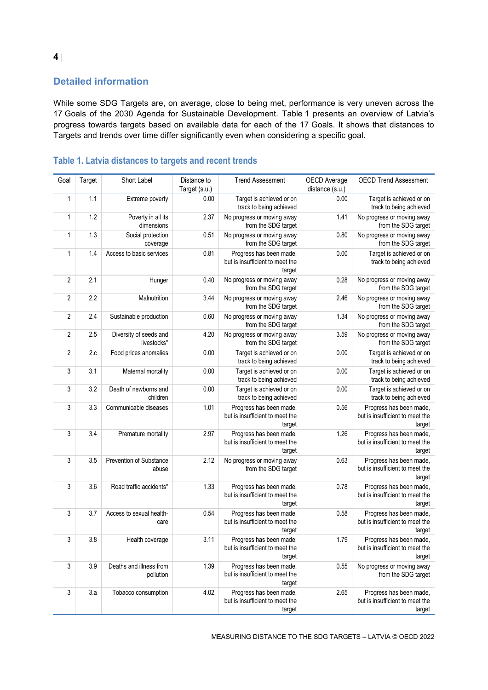# **Detailed information**

While some SDG Targets are, on average, close to being met, performance is very uneven across the 17 Goals of the 2030 Agenda for Sustainable Development. [Table](#page-3-0) 1 presents an overview of Latvia's progress towards targets based on available data for each of the 17 Goals. It shows that distances to Targets and trends over time differ significantly even when considering a specific goal.

| Goal           | Target | Short Label                           | Distance to<br>Target (s.u.) | <b>Trend Assessment</b>                                              | OECD Average<br>distance (s.u.) | <b>OECD Trend Assessment</b>                                         |
|----------------|--------|---------------------------------------|------------------------------|----------------------------------------------------------------------|---------------------------------|----------------------------------------------------------------------|
| 1              | 1.1    | Extreme poverty                       | 0.00                         | Target is achieved or on<br>track to being achieved                  | 0.00                            | Target is achieved or on<br>track to being achieved                  |
| 1              | 1.2    | Poverty in all its<br>dimensions      | 2.37                         | No progress or moving away<br>from the SDG target                    | 1.41                            | No progress or moving away<br>from the SDG target                    |
| 1              | 1.3    | Social protection<br>coverage         | 0.51                         | No progress or moving away<br>from the SDG target                    | 0.80                            | No progress or moving away<br>from the SDG target                    |
| 1              | 1.4    | Access to basic services              | 0.81                         | Progress has been made,<br>but is insufficient to meet the<br>target | 0.00                            | Target is achieved or on<br>track to being achieved                  |
| 2              | 2.1    | Hunger                                | 0.40                         | No progress or moving away<br>from the SDG target                    | 0.28                            | No progress or moving away<br>from the SDG target                    |
| 2              | 2.2    | Malnutrition                          | 3.44                         | No progress or moving away<br>from the SDG target                    | 2.46                            | No progress or moving away<br>from the SDG target                    |
| $\overline{2}$ | 2.4    | Sustainable production                | 0.60                         | No progress or moving away<br>from the SDG target                    | 1.34                            | No progress or moving away<br>from the SDG target                    |
| $\overline{2}$ | 2.5    | Diversity of seeds and<br>livestocks* | 4.20                         | No progress or moving away<br>from the SDG target                    | 3.59                            | No progress or moving away<br>from the SDG target                    |
| $\overline{2}$ | 2.c    | Food prices anomalies                 | 0.00                         | Target is achieved or on<br>track to being achieved                  | 0.00                            | Target is achieved or on<br>track to being achieved                  |
| 3              | 3.1    | Maternal mortality                    | 0.00                         | Target is achieved or on<br>track to being achieved                  | 0.00                            | Target is achieved or on<br>track to being achieved                  |
| 3              | 3.2    | Death of newborns and<br>children     | 0.00                         | Target is achieved or on<br>track to being achieved                  | 0.00                            | Target is achieved or on<br>track to being achieved                  |
| 3              | 3.3    | Communicable diseases                 | 1.01                         | Progress has been made,<br>but is insufficient to meet the<br>target | 0.56                            | Progress has been made,<br>but is insufficient to meet the<br>target |
| 3              | 3.4    | Premature mortality                   | 2.97                         | Progress has been made,<br>but is insufficient to meet the<br>target | 1.26                            | Progress has been made,<br>but is insufficient to meet the<br>target |
| 3              | 3.5    | Prevention of Substance<br>abuse      | 2.12                         | No progress or moving away<br>from the SDG target                    | 0.63                            | Progress has been made,<br>but is insufficient to meet the<br>target |
| 3              | 3.6    | Road traffic accidents*               | 1.33                         | Progress has been made,<br>but is insufficient to meet the<br>target | 0.78                            | Progress has been made,<br>but is insufficient to meet the<br>target |
| 3              | 3.7    | Access to sexual health-<br>care      | 0.54                         | Progress has been made,<br>but is insufficient to meet the<br>target | 0.58                            | Progress has been made,<br>but is insufficient to meet the<br>target |
| 3              | 3.8    | Health coverage                       | 3.11                         | Progress has been made,<br>but is insufficient to meet the<br>target | 1.79                            | Progress has been made,<br>but is insufficient to meet the<br>target |
| 3              | 3.9    | Deaths and illness from<br>pollution  | 1.39                         | Progress has been made,<br>but is insufficient to meet the<br>target | 0.55                            | No progress or moving away<br>from the SDG target                    |
| 3              | 3.a    | Tobacco consumption                   | 4.02                         | Progress has been made,<br>but is insufficient to meet the<br>target | 2.65                            | Progress has been made,<br>but is insufficient to meet the<br>target |

# <span id="page-3-0"></span>**Table 1. Latvia distances to targets and recent trends**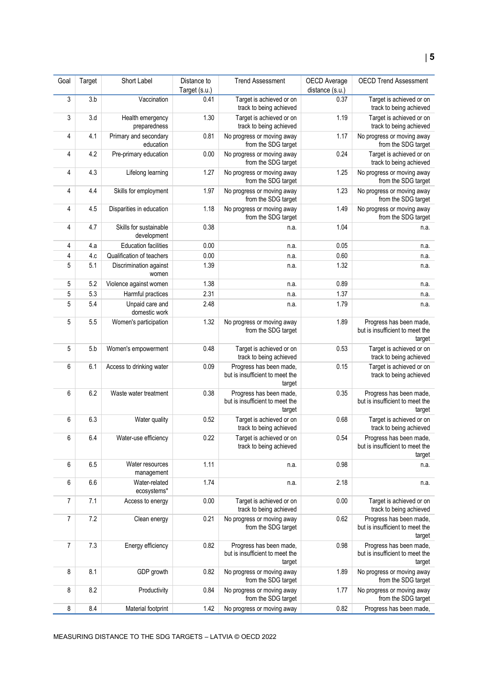| Goal | Target | Short Label                           | Distance to<br>Target (s.u.) | <b>Trend Assessment</b>                                              | OECD Average<br>distance (s.u.) | <b>OECD Trend Assessment</b>                                         |
|------|--------|---------------------------------------|------------------------------|----------------------------------------------------------------------|---------------------------------|----------------------------------------------------------------------|
| 3    | 3.b    | Vaccination                           | 0.41                         | Target is achieved or on<br>track to being achieved                  | 0.37                            | Target is achieved or on<br>track to being achieved                  |
| 3    | 3.d    | Health emergency<br>preparedness      | 1.30                         | Target is achieved or on<br>track to being achieved                  | 1.19                            | Target is achieved or on<br>track to being achieved                  |
| 4    | 4.1    | Primary and secondary<br>education    | 0.81                         | No progress or moving away<br>from the SDG target                    | 1.17                            | No progress or moving away<br>from the SDG target                    |
| 4    | 4.2    | Pre-primary education                 | 0.00                         | No progress or moving away<br>from the SDG target                    | 0.24                            | Target is achieved or on<br>track to being achieved                  |
| 4    | 4.3    | Lifelong learning                     | 1.27                         | No progress or moving away<br>from the SDG target                    | 1.25                            | No progress or moving away<br>from the SDG target                    |
| 4    | 4.4    | Skills for employment                 | 1.97                         | No progress or moving away<br>from the SDG target                    | 1.23                            | No progress or moving away<br>from the SDG target                    |
| 4    | 4.5    | Disparities in education              | 1.18                         | No progress or moving away<br>from the SDG target                    | 1.49                            | No progress or moving away<br>from the SDG target                    |
| 4    | 4.7    | Skills for sustainable<br>development | 0.38                         | n.a.                                                                 | 1.04                            | n.a.                                                                 |
| 4    | 4.a    | <b>Education facilities</b>           | 0.00                         | n.a.                                                                 | 0.05                            | n.a.                                                                 |
| 4    | 4.c    | Qualification of teachers             | 0.00                         | n.a.                                                                 | 0.60                            | n.a.                                                                 |
| 5    | 5.1    | Discrimination against<br>women       | 1.39                         | n.a.                                                                 | 1.32                            | n.a.                                                                 |
| 5    | 5.2    | Violence against women                | 1.38                         | n.a.                                                                 | 0.89                            | n.a.                                                                 |
| 5    | 5.3    | Harmful practices                     | 2.31                         | n.a.                                                                 | 1.37                            | n.a.                                                                 |
| 5    | 5.4    | Unpaid care and<br>domestic work      | 2.48                         | n.a.                                                                 | 1.79                            | n.a.                                                                 |
| 5    | 5.5    | Women's participation                 | 1.32                         | No progress or moving away<br>from the SDG target                    | 1.89                            | Progress has been made,<br>but is insufficient to meet the<br>target |
| 5    | 5.b    | Women's empowerment                   | 0.48                         | Target is achieved or on<br>track to being achieved                  | 0.53                            | Target is achieved or on<br>track to being achieved                  |
| 6    | 6.1    | Access to drinking water              | 0.09                         | Progress has been made,<br>but is insufficient to meet the<br>target | 0.15                            | Target is achieved or on<br>track to being achieved                  |
| 6    | 6.2    | Waste water treatment                 | 0.38                         | Progress has been made,<br>but is insufficient to meet the<br>target | 0.35                            | Progress has been made,<br>but is insufficient to meet the<br>target |
| 6    | 6.3    | Water quality                         | 0.52                         | Target is achieved or on<br>track to being achieved                  | 0.68                            | Target is achieved or on<br>track to being achieved                  |
| 6    | 6.4    | Water-use efficiency                  | 0.22                         | Target is achieved or on<br>track to being achieved                  | 0.54                            | Progress has been made,<br>but is insufficient to meet the<br>target |
| 6    | 6.5    | Water resources<br>management         | 1.11                         | n.a.                                                                 | 0.98                            | n.a.                                                                 |
| 6    | 6.6    | Water-related<br>ecosystems*          | 1.74                         | n.a.                                                                 | 2.18                            | n.a.                                                                 |
| 7    | 7.1    | Access to energy                      | 0.00                         | Target is achieved or on<br>track to being achieved                  | 0.00                            | Target is achieved or on<br>track to being achieved                  |
| 7    | 7.2    | Clean energy                          | 0.21                         | No progress or moving away<br>from the SDG target                    | 0.62                            | Progress has been made,<br>but is insufficient to meet the<br>target |
| 7    | 7.3    | Energy efficiency                     | 0.82                         | Progress has been made,<br>but is insufficient to meet the<br>target | 0.98                            | Progress has been made,<br>but is insufficient to meet the<br>target |
| 8    | 8.1    | GDP growth                            | 0.82                         | No progress or moving away<br>from the SDG target                    | 1.89                            | No progress or moving away<br>from the SDG target                    |
| 8    | 8.2    | Productivity                          | 0.84                         | No progress or moving away<br>from the SDG target                    | 1.77                            | No progress or moving away<br>from the SDG target                    |
| 8    | 8.4    | Material footprint                    | 1.42                         | No progress or moving away                                           | 0.82                            | Progress has been made,                                              |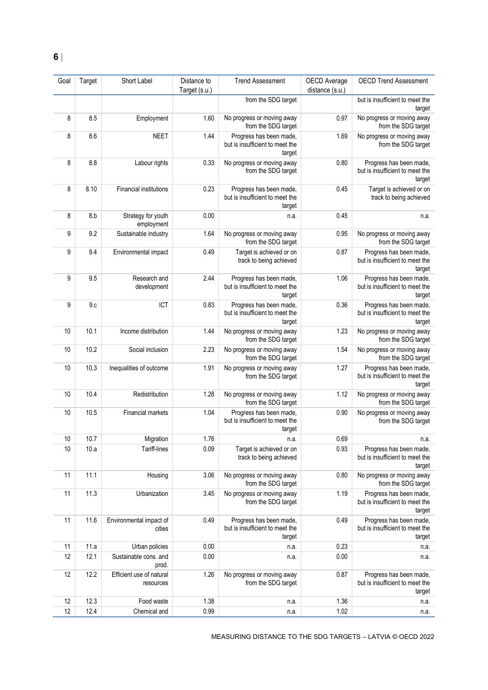| Goal | Target | Short Label                           | Distance to<br>Target (s.u.) | <b>Trend Assessment</b>                                              | OECD Average<br>distance (s.u.) | <b>OECD Trend Assessment</b>                                         |
|------|--------|---------------------------------------|------------------------------|----------------------------------------------------------------------|---------------------------------|----------------------------------------------------------------------|
|      |        |                                       |                              | from the SDG target                                                  |                                 | but is insufficient to meet the<br>target                            |
| 8    | 8.5    | Employment                            | 1.60                         | No progress or moving away<br>from the SDG target                    | 0.97                            | No progress or moving away<br>from the SDG target                    |
| 8    | 8.6    | <b>NEET</b>                           | 1.44                         | Progress has been made,<br>but is insufficient to meet the<br>target | 1.69                            | No progress or moving away<br>from the SDG target                    |
| 8    | 8.8    | Labour rights                         | 0.33                         | No progress or moving away<br>from the SDG target                    | 0.80                            | Progress has been made,<br>but is insufficient to meet the<br>target |
| 8    | 8.10   | <b>Financial institutions</b>         | 0.23                         | Progress has been made,<br>but is insufficient to meet the<br>target | 0.45                            | Target is achieved or on<br>track to being achieved                  |
| 8    | 8.b    | Strategy for youth<br>employment      | 0.00                         | n.a.                                                                 | 0.45                            | n.a.                                                                 |
| 9    | 9.2    | Sustainable industry                  | 1.64                         | No progress or moving away<br>from the SDG target                    | 0.95                            | No progress or moving away<br>from the SDG target                    |
| 9    | 9.4    | Environmental impact                  | 0.49                         | Target is achieved or on<br>track to being achieved                  | 0.87                            | Progress has been made,<br>but is insufficient to meet the<br>target |
| 9    | 9.5    | Research and<br>development           | 2.44                         | Progress has been made,<br>but is insufficient to meet the<br>target | 1.06                            | Progress has been made,<br>but is insufficient to meet the<br>target |
| 9    | 9.c    | ICT                                   | 0.83                         | Progress has been made,<br>but is insufficient to meet the<br>target | 0.36                            | Progress has been made,<br>but is insufficient to meet the<br>target |
| 10   | 10.1   | Income distribution                   | 1.44                         | No progress or moving away<br>from the SDG target                    | 1.23                            | No progress or moving away<br>from the SDG target                    |
| 10   | 10.2   | Social inclusion                      | 2.23                         | No progress or moving away<br>from the SDG target                    | 1.54                            | No progress or moving away<br>from the SDG target                    |
| 10   | 10.3   | Inequalities of outcome               | 1.91                         | No progress or moving away<br>from the SDG target                    | 1.27                            | Progress has been made,<br>but is insufficient to meet the<br>target |
| 10   | 10.4   | Redistribution                        | 1.28                         | No progress or moving away<br>from the SDG target                    | 1.12                            | No progress or moving away<br>from the SDG target                    |
| 10   | 10.5   | <b>Financial markets</b>              | 1.04                         | Progress has been made,<br>but is insufficient to meet the<br>target | 0.90                            | No progress or moving away<br>from the SDG target                    |
| $10$ | 10.7   | Migration                             | 1.76                         | n.a.                                                                 | 0.69                            | n.a.                                                                 |
| 10   | 10.a   | Tariff-lines                          | 0.09                         | Target is achieved or on<br>track to being achieved                  | 0.93                            | Progress has been made,<br>but is insufficient to meet the<br>target |
| 11   | 11.1   | Housing                               | 3.06                         | No progress or moving away<br>from the SDG target                    | 0.80                            | No progress or moving away<br>from the SDG target                    |
| 11   | 11.3   | Urbanization                          | 3.45                         | No progress or moving away<br>from the SDG target                    | 1.19                            | Progress has been made,<br>but is insufficient to meet the<br>target |
| 11   | 11.6   | Environmental impact of<br>cities     | 0.49                         | Progress has been made,<br>but is insufficient to meet the<br>target | 0.49                            | Progress has been made,<br>but is insufficient to meet the<br>target |
| 11   | 11.a   | Urban policies                        | 0.00                         | n.a.                                                                 | 0.23                            | n.a.                                                                 |
| 12   | 12.1   | Sustainable cons. and<br>prod.        | 0.00                         | n.a.                                                                 | 0.00                            | n.a.                                                                 |
| 12   | 12.2   | Efficient use of natural<br>resources | 1.26                         | No progress or moving away<br>from the SDG target                    | 0.87                            | Progress has been made,<br>but is insufficient to meet the<br>target |
| 12   | 12.3   | Food waste                            | 1.38                         | n.a.                                                                 | 1.36                            | n.a.                                                                 |
| 12   | 12.4   | Chemical and                          | 0.99                         | n.a.                                                                 | 1.02                            | n.a.                                                                 |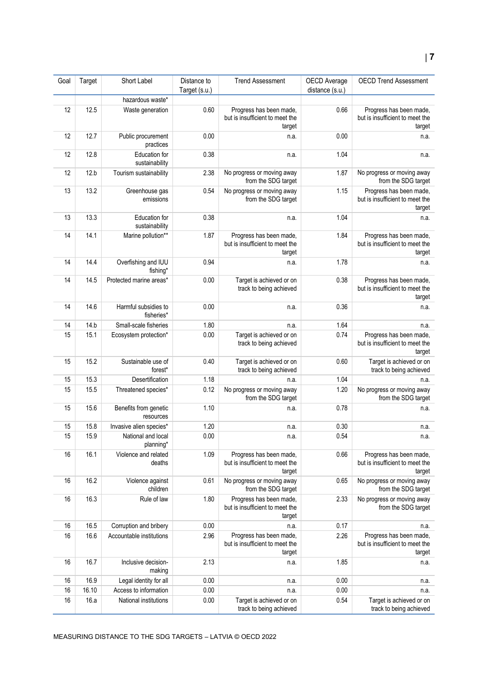#### Goal Target Short Label Distance to Target (s.u.) Trend Assessment OECD Average distance (s.u.) OECD Trend Assessment hazardous waste<sup>\*</sup> 12 12.5 Waste generation 0.60 Progress has been made, but is insufficient to meet the target 0.66 **Progress has been made,** but is insufficient to meet the target 12 12.7 Public procurement practices 0.00 n.a. 0.00 n.a. 12 12.8 Education for sustainability 0.38 n.a. 1.04 n.a. 12 12.b Tourism sustainability 2.38 No progress or moving away from the SDG target 1.87 No progress or moving away from the SDG target 13 13.2 Greenhouse gas emissions 0.54 No progress or moving away from the SDG target 1.15 Progress has been made, but is insufficient to meet the target 13 13.3 Education for sustainability 0.38 n.a. 1.04 n.a. 14 | 14.1 | Marine pollution\*\* | 1.87 | Progress has been made, but is insufficient to meet the target 1.84 Progress has been made, but is insufficient to meet the target 14 14.4 Overfishing and IUU fishing\* 0.94 n.a. 1.78 n.a. 14 14.5 Protected marine areas<sup>\*</sup> 0.00 Target is achieved or on track to being achieved 0.38 Progress has been made, but is insufficient to meet the target 14 14.6 Harmful subsidies to fisheries\*  $0.00$  n.a.  $n.a.$   $0.36$  n.a. 14 14.b Small-scale fisheries 1.80 n.a. 1.64 n.a. 1.64 n.a. 15 15.1 Ecosystem protection\* 0.00 Target is achieved or on track to being achieved 0.74 Progress has been made, but is insufficient to meet the target 15 15.2 Sustainable use of forest\* 0.40 Target is achieved or on track to being achieved 0.60 Target is achieved or on track to being achieved 15 15.3 Desertification 1.18 n.a. 1.04 n.a. 1.04 n.a. 15 15.5 Threatened species<sup>\*</sup> 0.12 No progress or moving away from the SDG target 1.20 No progress or moving away from the SDG target 15 15.6 Benefits from genetic resources 1.10 n.a. 0.78 n.a. 15 15.8 Invasive alien species<sup>\*</sup> 1.20 n.a. 1.20 n.a. 0.30 n.a. 15 15.9 National and local planning\* 0.00 **n.a.** n.a.  $0.54$  n.a. 16 16.1 Violence and related deaths 1.09 Progress has been made, but is insufficient to meet the target 0.66 Progress has been made, but is insufficient to meet the target 16 16.2 Violence against children 0.61 No progress or moving away from the SDG target 0.65 No progress or moving away from the SDG target 16 16.3 Rule of law 1.80 Progress has been made. but is insufficient to meet the target 2.33 No progress or moving away from the SDG target 16 16.5 Corruption and bribery 0.00 n.a. 0.17 n.a. 0.17 n.a. 16 16.6 Accountable institutions 2.96 Progress has been made, but is insufficient to meet the target 2.26 Progress has been made, but is insufficient to meet the target 16 16.7 Inclusive decisionmaking 2.13 **n.a.** n.a. 1.85 **n.a.** n.a. 16 16.9 Legal identity for all 0.00 n.a. 0.00 n.a. 16 16.10 Access to information 0.00 n.a. 0.00 n.a. 16 16.a National institutions 0.00 Target is achieved or on 0.54 Target is achieved or on

track to being achieved

track to being achieved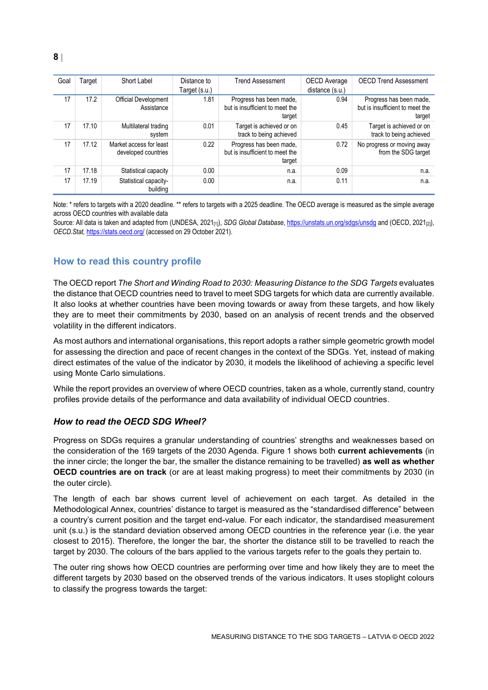| Goal | Target | Short Label                                    | Distance to<br>Target (s.u.) | <b>Trend Assessment</b>                                              | OECD Average<br>distance (s.u.) | <b>OECD Trend Assessment</b>                                         |
|------|--------|------------------------------------------------|------------------------------|----------------------------------------------------------------------|---------------------------------|----------------------------------------------------------------------|
| 17   | 17.2   | Official Development<br>Assistance             | 1.81                         | Progress has been made,<br>but is insufficient to meet the<br>target | 0.94                            | Progress has been made,<br>but is insufficient to meet the<br>target |
| 17   | 17.10  | Multilateral trading<br>system                 | 0.01                         | Target is achieved or on<br>track to being achieved                  | 0.45                            | Target is achieved or on<br>track to being achieved                  |
| 17   | 17.12  | Market access for least<br>developed countries | 0.22                         | Progress has been made,<br>but is insufficient to meet the<br>target | 0.72                            | No progress or moving away<br>from the SDG target                    |
| 17   | 17.18  | Statistical capacity                           | 0.00                         | n.a.                                                                 | 0.09                            | n.a.                                                                 |
| 17   | 17.19  | Statistical capacity-<br>building              | 0.00                         | n.a.                                                                 | 0.11                            | n.a.                                                                 |

Note: \* refers to targets with a 2020 deadline. \*\* refers to targets with a 2025 deadline. The OECD average is measured as the simple average across OECD countries with available data

Source: All data is taken and adapted from (UNDESA, 2021<sub>[1]</sub>), *SDG Global Database*[, https://unstats.un.org/sdgs/unsdg](https://unstats.un.org/sdgs/unsdg) and (OECD, 2021<sub>[2]</sub>), *OECD.Stat,* <https://stats.oecd.org/> (accessed on 29 October 2021).

# <span id="page-7-0"></span>**How to read this country profile**

The OECD report *The Short and Winding Road to 2030: Measuring Distance to the SDG Targets* evaluates the distance that OECD countries need to travel to meet SDG targets for which data are currently available. It also looks at whether countries have been moving towards or away from these targets, and how likely they are to meet their commitments by 2030, based on an analysis of recent trends and the observed volatility in the different indicators.

As most authors and international organisations, this report adopts a rather simple geometric growth model for assessing the direction and pace of recent changes in the context of the SDGs. Yet, instead of making direct estimates of the value of the indicator by 2030, it models the likelihood of achieving a specific level using Monte Carlo simulations.

While the report provides an overview of where OECD countries, taken as a whole, currently stand, country profiles provide details of the performance and data availability of individual OECD countries.

#### *How to read the OECD SDG Wheel?*

Progress on SDGs requires a granular understanding of countries' strengths and weaknesses based on the consideration of the 169 targets of the 2030 Agenda. [Figure](#page-0-0) 1 shows both **current achievements** (in the inner circle; the longer the bar, the smaller the distance remaining to be travelled) **as well as whether OECD countries are on track** (or are at least making progress) to meet their commitments by 2030 (in the outer circle).

The length of each bar shows current level of achievement on each target. As detailed in the Methodological Annex, countries' distance to target is measured as the "standardised difference" between a country's current position and the target end-value. For each indicator, the standardised measurement unit (s.u.) is the standard deviation observed among OECD countries in the reference year (i.e. the year closest to 2015). Therefore, the longer the bar, the shorter the distance still to be travelled to reach the target by 2030. The colours of the bars applied to the various targets refer to the goals they pertain to.

The outer ring shows how OECD countries are performing over time and how likely they are to meet the different targets by 2030 based on the observed trends of the various indicators. It uses stoplight colours to classify the progress towards the target: